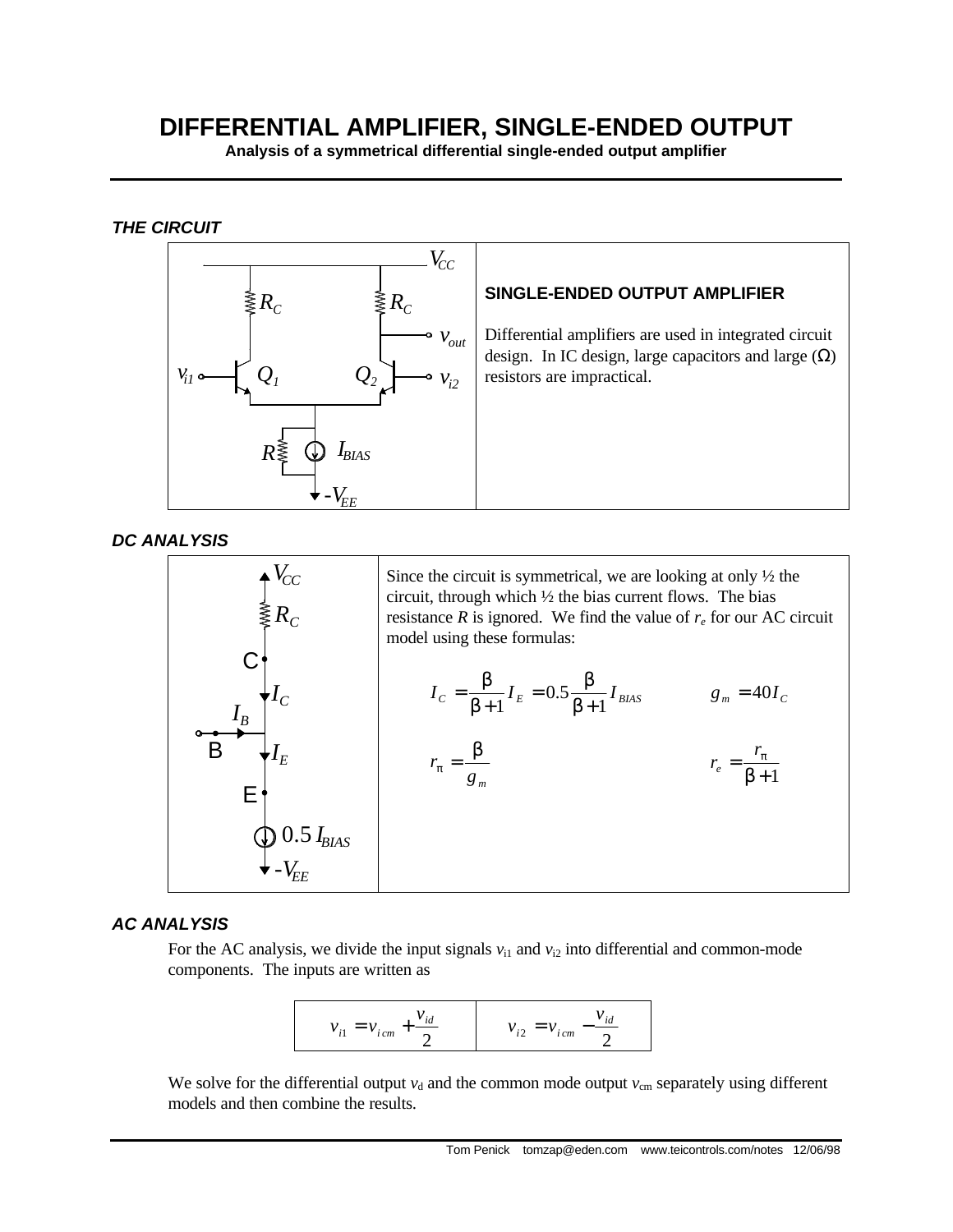## **DIFFERENTIAL AMPLIFIER, SINGLE-ENDED OUTPUT**

**Analysis of a symmetrical differential single-ended output amplifier**

*THE CIRCUIT*



*DC ANALYSIS*



## *AC ANALYSIS*

For the AC analysis, we divide the input signals  $v_{i1}$  and  $v_{i2}$  into differential and common-mode components. The inputs are written as



We solve for the differential output  $v_d$  and the common mode output  $v_{cm}$  separately using different models and then combine the results.